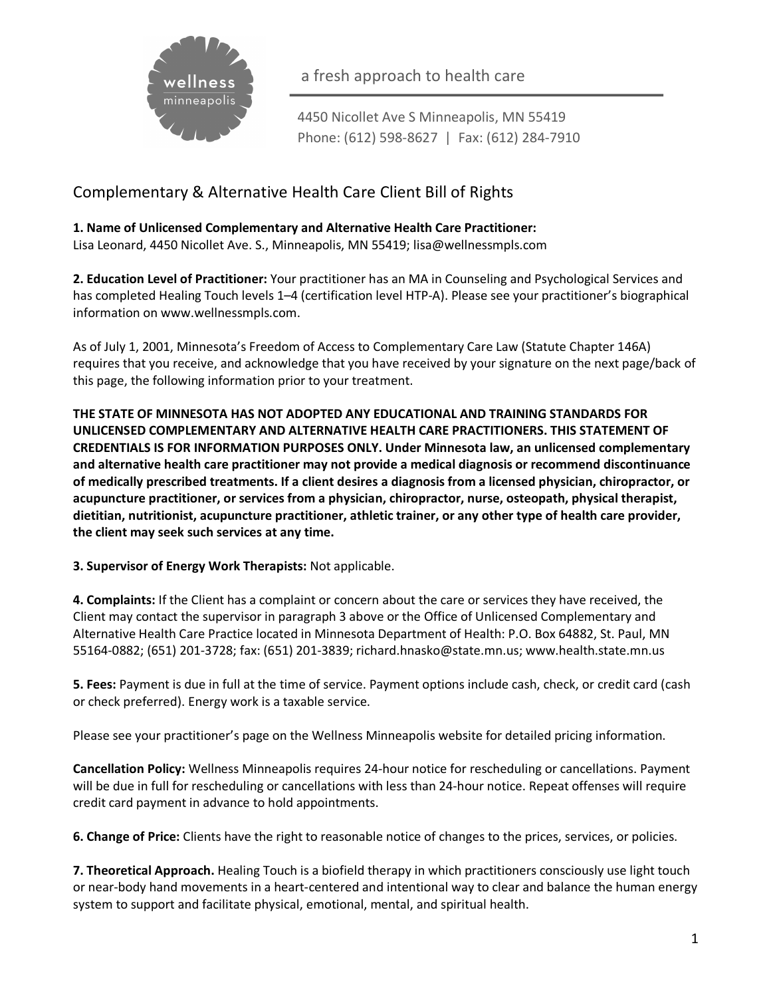

a fresh approach to health care

4450 Nicollet Ave S Minneapolis, MN 55419 Phone: (612) 598-8627 | Fax: (612) 284-7910

## Complementary & Alternative Health Care Client Bill of Rights

**1. Name of Unlicensed Complementary and Alternative Health Care Practitioner:**  Lisa Leonard, 4450 Nicollet Ave. S., Minneapolis, MN 55419; lisa@wellnessmpls.com

**2. Education Level of Practitioner:** Your practitioner has an MA in Counseling and Psychological Services and has completed Healing Touch levels 1–4 (certification level HTP-A). Please see your practitioner's biographical information on www.wellnessmpls.com.

As of July 1, 2001, Minnesota's Freedom of Access to Complementary Care Law (Statute Chapter 146A) requires that you receive, and acknowledge that you have received by your signature on the next page/back of this page, the following information prior to your treatment.

**THE STATE OF MINNESOTA HAS NOT ADOPTED ANY EDUCATIONAL AND TRAINING STANDARDS FOR UNLICENSED COMPLEMENTARY AND ALTERNATIVE HEALTH CARE PRACTITIONERS. THIS STATEMENT OF CREDENTIALS IS FOR INFORMATION PURPOSES ONLY. Under Minnesota law, an unlicensed complementary and alternative health care practitioner may not provide a medical diagnosis or recommend discontinuance of medically prescribed treatments. If a client desires a diagnosis from a licensed physician, chiropractor, or acupuncture practitioner, or services from a physician, chiropractor, nurse, osteopath, physical therapist, dietitian, nutritionist, acupuncture practitioner, athletic trainer, or any other type of health care provider, the client may seek such services at any time.**

**3. Supervisor of Energy Work Therapists:** Not applicable.

**4. Complaints:** If the Client has a complaint or concern about the care or services they have received, the Client may contact the supervisor in paragraph 3 above or the Office of Unlicensed Complementary and Alternative Health Care Practice located in Minnesota Department of Health: P.O. Box 64882, St. Paul, MN 55164-0882; (651) 201-3728; fax: (651) 201-3839; richard.hnasko@state.mn.us; www.health.state.mn.us

**5. Fees:** Payment is due in full at the time of service. Payment options include cash, check, or credit card (cash or check preferred). Energy work is a taxable service.

Please see your practitioner's page on the Wellness Minneapolis website for detailed pricing information.

**Cancellation Policy:** Wellness Minneapolis requires 24-hour notice for rescheduling or cancellations. Payment will be due in full for rescheduling or cancellations with less than 24-hour notice. Repeat offenses will require credit card payment in advance to hold appointments.

**6. Change of Price:** Clients have the right to reasonable notice of changes to the prices, services, or policies.

**7. Theoretical Approach.** Healing Touch is a biofield therapy in which practitioners consciously use light touch or near-body hand movements in a heart-centered and intentional way to clear and balance the human energy system to support and facilitate physical, emotional, mental, and spiritual health.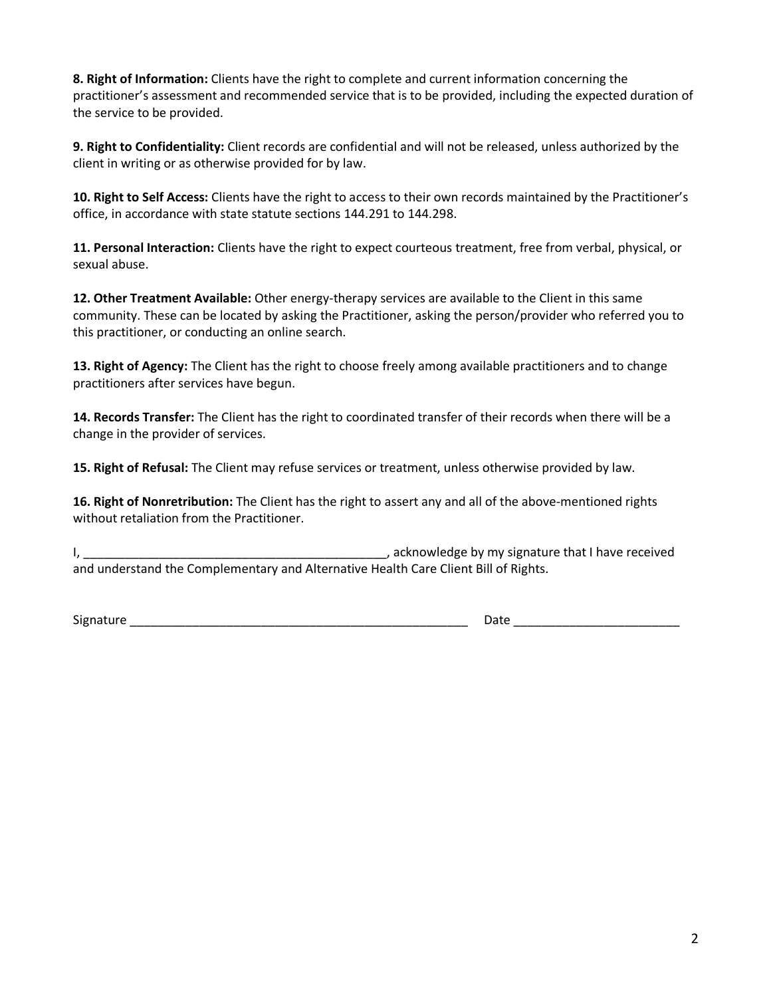**8. Right of Information:** Clients have the right to complete and current information concerning the practitioner's assessment and recommended service that is to be provided, including the expected duration of the service to be provided.

**9. Right to Confidentiality:** Client records are confidential and will not be released, unless authorized by the client in writing or as otherwise provided for by law.

**10. Right to Self Access:** Clients have the right to access to their own records maintained by the Practitioner's office, in accordance with state statute sections 144.291 to 144.298.

**11. Personal Interaction:** Clients have the right to expect courteous treatment, free from verbal, physical, or sexual abuse.

**12. Other Treatment Available:** Other energy-therapy services are available to the Client in this same community. These can be located by asking the Practitioner, asking the person/provider who referred you to this practitioner, or conducting an online search.

**13. Right of Agency:** The Client has the right to choose freely among available practitioners and to change practitioners after services have begun.

**14. Records Transfer:** The Client has the right to coordinated transfer of their records when there will be a change in the provider of services.

**15. Right of Refusal:** The Client may refuse services or treatment, unless otherwise provided by law.

**16. Right of Nonretribution:** The Client has the right to assert any and all of the above-mentioned rights without retaliation from the Practitioner.

I, \_\_\_\_\_\_\_\_\_\_\_\_\_\_\_\_\_\_\_\_\_\_\_\_\_\_\_\_\_\_\_\_\_\_\_\_\_\_\_\_\_\_\_\_, acknowledge by my signature that I have received and understand the Complementary and Alternative Health Care Client Bill of Rights.

Signature \_\_\_\_\_\_\_\_\_\_\_\_\_\_\_\_\_\_\_\_\_\_\_\_\_\_\_\_\_\_\_\_\_\_\_\_\_\_\_\_\_\_\_\_\_\_\_\_\_ Date \_\_\_\_\_\_\_\_\_\_\_\_\_\_\_\_\_\_\_\_\_\_\_\_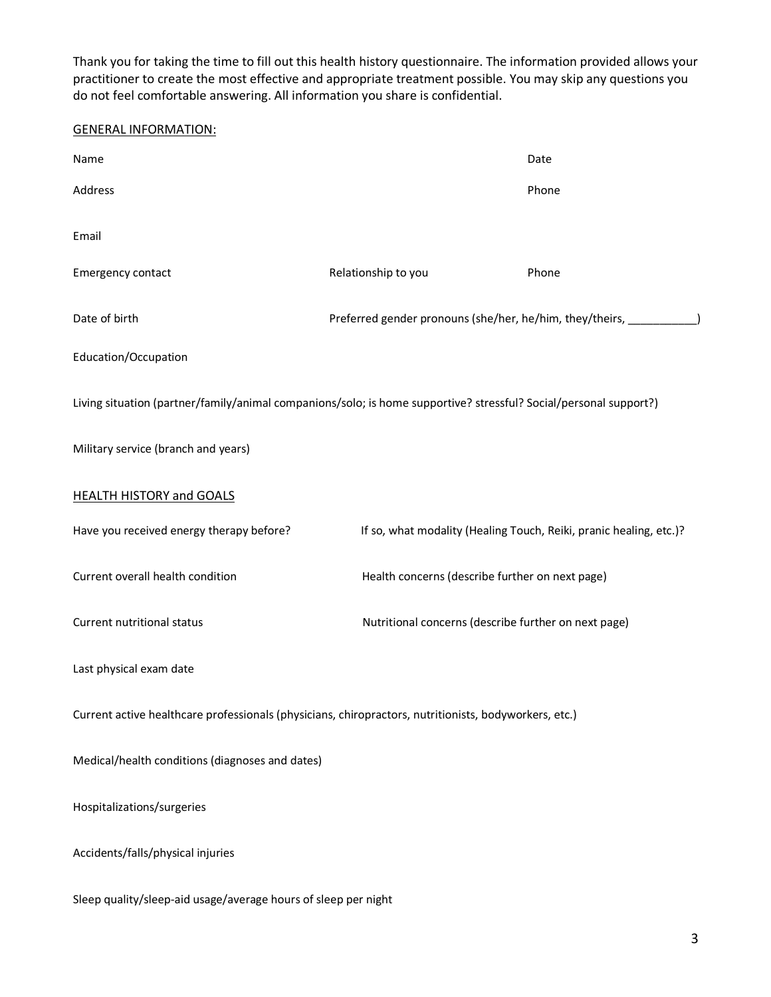Thank you for taking the time to fill out this health history questionnaire. The information provided allows your practitioner to create the most effective and appropriate treatment possible. You may skip any questions you do not feel comfortable answering. All information you share is confidential.

## GENERAL INFORMATION:

| Name                                                                                                              |                                                              | Date                                                               |  |
|-------------------------------------------------------------------------------------------------------------------|--------------------------------------------------------------|--------------------------------------------------------------------|--|
| Address                                                                                                           |                                                              | Phone                                                              |  |
| Email                                                                                                             |                                                              |                                                                    |  |
| Emergency contact                                                                                                 | Relationship to you                                          | Phone                                                              |  |
| Date of birth                                                                                                     | Preferred gender pronouns (she/her, he/him, they/theirs, ___ |                                                                    |  |
| Education/Occupation                                                                                              |                                                              |                                                                    |  |
| Living situation (partner/family/animal companions/solo; is home supportive? stressful? Social/personal support?) |                                                              |                                                                    |  |
| Military service (branch and years)                                                                               |                                                              |                                                                    |  |
| <b>HEALTH HISTORY and GOALS</b>                                                                                   |                                                              |                                                                    |  |
| Have you received energy therapy before?                                                                          |                                                              | If so, what modality (Healing Touch, Reiki, pranic healing, etc.)? |  |
| Current overall health condition                                                                                  | Health concerns (describe further on next page)              |                                                                    |  |
| Current nutritional status                                                                                        | Nutritional concerns (describe further on next page)         |                                                                    |  |
| Last physical exam date                                                                                           |                                                              |                                                                    |  |
| Current active healthcare professionals (physicians, chiropractors, nutritionists, bodyworkers, etc.)             |                                                              |                                                                    |  |
| Medical/health conditions (diagnoses and dates)                                                                   |                                                              |                                                                    |  |
| Hospitalizations/surgeries                                                                                        |                                                              |                                                                    |  |
| Accidents/falls/physical injuries                                                                                 |                                                              |                                                                    |  |
| Sleep quality/sleep-aid usage/average hours of sleep per night                                                    |                                                              |                                                                    |  |